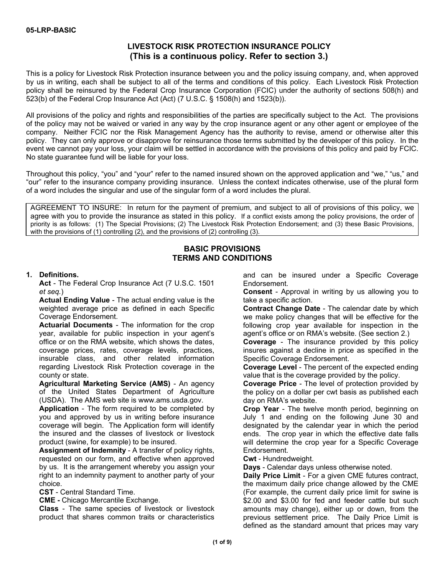# **LIVESTOCK RISK PROTECTION INSURANCE POLICY (This is a continuous policy. Refer to section 3.)**

This is a policy for Livestock Risk Protection insurance between you and the policy issuing company, and, when approved by us in writing, each shall be subject to all of the terms and conditions of this policy. Each Livestock Risk Protection policy shall be reinsured by the Federal Crop Insurance Corporation (FCIC) under the authority of sections 508(h) and 523(b) of the Federal Crop Insurance Act (Act) (7 U.S.C. § 1508(h) and 1523(b)).

All provisions of the policy and rights and responsibilities of the parties are specifically subject to the Act. The provisions of the policy may not be waived or varied in any way by the crop insurance agent or any other agent or employee of the company. Neither FCIC nor the Risk Management Agency has the authority to revise, amend or otherwise alter this policy. They can only approve or disapprove for reinsurance those terms submitted by the developer of this policy. In the event we cannot pay your loss, your claim will be settled in accordance with the provisions of this policy and paid by FCIC. No state guarantee fund will be liable for your loss.

Throughout this policy, "you" and "your" refer to the named insured shown on the approved application and "we," "us," and "our" refer to the insurance company providing insurance. Unless the context indicates otherwise, use of the plural form of a word includes the singular and use of the singular form of a word includes the plural.

AGREEMENT TO INSURE: In return for the payment of premium, and subject to all of provisions of this policy, we agree with you to provide the insurance as stated in this policy. If a conflict exists among the policy provisions, the order of priority is as follows: (1) The Special Provisions; (2) The Livestock Risk Protection Endorsement; and (3) these Basic Provisions, with the provisions of (1) controlling (2), and the provisions of (2) controlling (3).

# **BASIC PROVISIONS TERMS AND CONDITIONS**

### **1. Definitions.**

**Act** - The Federal Crop Insurance Act (7 U.S.C. 1501 *et seq.*)

**Actual Ending Value** - The actual ending value is the weighted average price as defined in each Specific Coverage Endorsement.

**Actuarial Documents** - The information for the crop year, available for public inspection in your agent's office or on the RMA website, which shows the dates, coverage prices, rates, coverage levels, practices, insurable class, and other related information regarding Livestock Risk Protection coverage in the county or state.

**Agricultural Marketing Service (AMS)** - An agency of the United States Department of Agriculture (USDA). The AMS web site is www.ams.usda.gov.

**Application** - The form required to be completed by you and approved by us in writing before insurance coverage will begin. The Application form will identify the insured and the classes of livestock or livestock product (swine, for example) to be insured.

**Assignment of Indemnity** - A transfer of policy rights, requested on our form, and effective when approved by us. It is the arrangement whereby you assign your right to an indemnity payment to another party of your choice.

**CST** - Central Standard Time.

**CME -** Chicago Mercantile Exchange.

**Class** - The same species of livestock or livestock product that shares common traits or characteristics and can be insured under a Specific Coverage Endorsement.

**Consent** - Approval in writing by us allowing you to take a specific action.

**Contract Change Date** - The calendar date by which we make policy changes that will be effective for the following crop year available for inspection in the agent's office or on RMA's website. (See section 2.)

**Coverage** - The insurance provided by this policy insures against a decline in price as specified in the Specific Coverage Endorsement.

**Coverage Level** - The percent of the expected ending value that is the coverage provided by the policy.

**Coverage Price** - The level of protection provided by the policy on a dollar per cwt basis as published each day on RMA's website.

**Crop Year** - The twelve month period, beginning on July 1 and ending on the following June 30 and designated by the calendar year in which the period ends. The crop year in which the effective date falls will determine the crop year for a Specific Coverage Endorsement.

**Cwt** - Hundredweight.

**Days** - Calendar days unless otherwise noted.

**Daily Price Limit** - For a given CME futures contract, the maximum daily price change allowed by the CME (For example, the current daily price limit for swine is \$2.00 and \$3.00 for fed and feeder cattle but such amounts may change), either up or down, from the previous settlement price. The Daily Price Limit is defined as the standard amount that prices may vary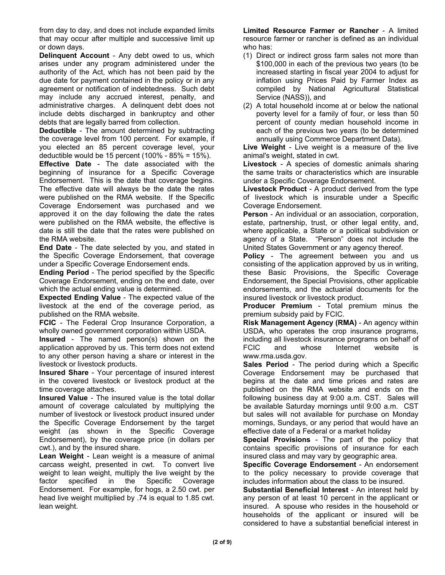from day to day, and does not include expanded limits that may occur after multiple and successive limit up or down days.

**Delinquent Account - Any debt owed to us, which** arises under any program administered under the authority of the Act, which has not been paid by the due date for payment contained in the policy or in any agreement or notification of indebtedness. Such debt may include any accrued interest, penalty, and administrative charges. A delinquent debt does not include debts discharged in bankruptcy and other debts that are legally barred from collection.

**Deductible** - The amount determined by subtracting the coverage level from 100 percent. For example, if you elected an 85 percent coverage level, your deductible would be 15 percent  $(100\% - 85\% = 15\%).$ 

**Effective Date** - The date associated with the beginning of insurance for a Specific Coverage Endorsement. This is the date that coverage begins. The effective date will always be the date the rates were published on the RMA website. If the Specific Coverage Endorsement was purchased and we approved it on the day following the date the rates were published on the RMA website, the effective is date is still the date that the rates were published on the RMA website.

**End Date** - The date selected by you, and stated in the Specific Coverage Endorsement, that coverage under a Specific Coverage Endorsement ends.

**Ending Period** - The period specified by the Specific Coverage Endorsement, ending on the end date, over which the actual ending value is determined.

**Expected Ending Value** - The expected value of the livestock at the end of the coverage period, as published on the RMA website.

**FCIC** - The Federal Crop Insurance Corporation, a wholly owned government corporation within USDA.

 **Insured** - The named person(s) shown on the application approved by us. This term does not extend to any other person having a share or interest in the livestock or livestock products.

**Insured Share** - Your percentage of insured interest in the covered livestock or livestock product at the time coverage attaches.

**Insured Value** - The insured value is the total dollar amount of coverage calculated by multiplying the number of livestock or livestock product insured under the Specific Coverage Endorsement by the target weight (as shown in the Specific Coverage Endorsement), by the coverage price (in dollars per cwt.), and by the insured share.

**Lean Weight** - Lean weight is a measure of animal carcass weight, presented in cwt. To convert live weight to lean weight, multiply the live weight by the factor specified in the Specific Coverage Endorsement. For example, for hogs, a 2.50 cwt. per head live weight multiplied by .74 is equal to 1.85 cwt. lean weight.

**Limited Resource Farmer or Rancher** - A limited resource farmer or rancher is defined as an individual who has:

- (1) Direct or indirect gross farm sales not more than \$100,000 in each of the previous two years (to be increased starting in fiscal year 2004 to adjust for inflation using Prices Paid by Farmer Index as compiled by National Agricultural Statistical Service (NASS)), and
- (2) A total household income at or below the national poverty level for a family of four, or less than 50 percent of county median household income in each of the previous two years (to be determined annually using Commerce Department Data).

**Live Weight** - Live weight is a measure of the live animal's weight, stated in cwt.

**Livestock** - A species of domestic animals sharing the same traits or characteristics which are insurable under a Specific Coverage Endorsement.

**Livestock Product** - A product derived from the type of livestock which is insurable under a Specific Coverage Endorsement.

**Person** - An individual or an association, corporation, estate, partnership, trust, or other legal entity, and, where applicable, a State or a political subdivision or agency of a State. "Person" does not include the United States Government or any agency thereof.

**Policy** - The agreement between you and us consisting of the application approved by us in writing, these Basic Provisions, the Specific Coverage Endorsement, the Special Provisions, other applicable endorsements, and the actuarial documents for the insured livestock or livestock product.

**Producer Premium** - Total premium minus the premium subsidy paid by FCIC.

**Risk Management Agency (RMA)** - An agency within USDA, who operates the crop insurance programs, including all livestock insurance programs on behalf of FCIC and whose Internet website is www.rma.usda.gov.

**Sales Period** - The period during which a Specific Coverage Endorsement may be purchased that begins at the date and time prices and rates are published on the RMA website and ends on the following business day at 9:00 a.m. CST. Sales will be available Saturday mornings until 9:00 a.m. CST but sales will not available for purchase on Monday mornings, Sundays, or any period that would have an effective date of a Federal or a market holiday

**Special Provisions** - The part of the policy that contains specific provisions of insurance for each insured class and may vary by geographic area.

**Specific Coverage Endorsement** - An endorsement to the policy necessary to provide coverage that includes information about the class to be insured.

**Substantial Beneficial Interest** - An interest held by any person of at least 10 percent in the applicant or insured. A spouse who resides in the household or households of the applicant or insured will be considered to have a substantial beneficial interest in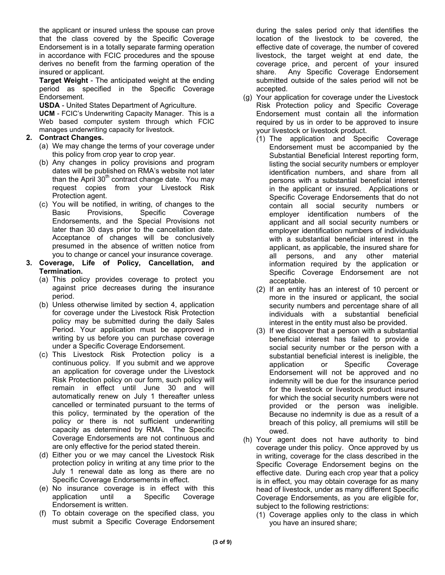the applicant or insured unless the spouse can prove that the class covered by the Specific Coverage Endorsement is in a totally separate farming operation in accordance with FCIC procedures and the spouse derives no benefit from the farming operation of the insured or applicant.

**Target Weight** - The anticipated weight at the ending period as specified in the Specific Coverage Endorsement.

**USDA** - United States Department of Agriculture.

**UCM** - FCIC's Underwriting Capacity Manager. This is a Web based computer system through which FCIC manages underwriting capacity for livestock.

## **2. Contract Changes.**

- (a) We may change the terms of your coverage under this policy from crop year to crop year.
- (b) Any changes in policy provisions and program dates will be published on RMA's website not later than the April  $30<sup>th</sup>$  contract change date. You may request copies from your Livestock Risk Protection agent.
- later than 30 days prior to the cancellation date. (c) You will be notified, in writing, of changes to the Basic Provisions, Specific Coverage Endorsements, and the Special Provisions not Acceptance of changes will be conclusively presumed in the absence of written notice from you to change or cancel your insurance coverage.
- **3. Coverage, Life of Policy, Cancellation, and Termination.** 
	- (a) This policy provides coverage to protect you against price decreases during the insurance period.
	- (b) Unless otherwise limited by section 4, application for coverage under the Livestock Risk Protection policy may be submitted during the daily Sales Period. Your application must be approved in writing by us before you can purchase coverage under a Specific Coverage Endorsement.
	- (c) This Livestock Risk Protection policy is a continuous policy. If you submit and we approve an application for coverage under the Livestock Risk Protection policy on our form, such policy will remain in effect until June 30 and will automatically renew on July 1 thereafter unless cancelled or terminated pursuant to the terms of this policy, terminated by the operation of the policy or there is not sufficient underwriting capacity as determined by RMA. The Specific Coverage Endorsements are not continuous and are only effective for the period stated therein.
	- (d) Either you or we may cancel the Livestock Risk protection policy in writing at any time prior to the July 1 renewal date as long as there are no Specific Coverage Endorsements in effect.
	- (e) No insurance coverage is in effect with this application until a Specific Coverage Endorsement is written.
	- (f) To obtain coverage on the specified class, you must submit a Specific Coverage Endorsement

during the sales period only that identifies the location of the livestock to be covered, the effective date of coverage, the number of covered livestock, the target weight at end date, the coverage price, and percent of your insured share. Any Specific Coverage Endorsement submitted outside of the sales period will not be accepted.

- (g) Your application for coverage under the Livestock Risk Protection policy and Specific Coverage Endorsement must contain all the information required by us in order to be approved to insure your livestock or livestock product.
	- (1) The application and Specific Coverage Endorsement must be accompanied by the Substantial Beneficial Interest reporting form, listing the social security numbers or employer identification numbers, and share from all persons with a substantial beneficial interest in the applicant or insured. Applications or Specific Coverage Endorsements that do not contain all social security numbers or employer identification numbers of the applicant and all social security numbers or employer identification numbers of individuals with a substantial beneficial interest in the applicant, as applicable, the insured share for all persons, and any other material information required by the application or Specific Coverage Endorsement are not acceptable.
	- (2) If an entity has an interest of 10 percent or more in the insured or applicant, the social security numbers and percentage share of all individuals with a substantial beneficial interest in the entity must also be provided.
	- for which the social security numbers were not (3) If we discover that a person with a substantial beneficial interest has failed to provide a social security number or the person with a substantial beneficial interest is ineligible, the application or Specific Coverage Endorsement will not be approved and no indemnity will be due for the insurance period for the livestock or livestock product insured provided or the person was ineligible. Because no indemnity is due as a result of a breach of this policy, all premiums will still be owed.
- (h) Your agent does not have authority to bind coverage under this policy. Once approved by us in writing, coverage for the class described in the Specific Coverage Endorsement begins on the effective date. During each crop year that a policy is in effect, you may obtain coverage for as many head of livestock, under as many different Specific Coverage Endorsements, as you are eligible for, subject to the following restrictions:
	- (1) Coverage applies only to the class in which you have an insured share;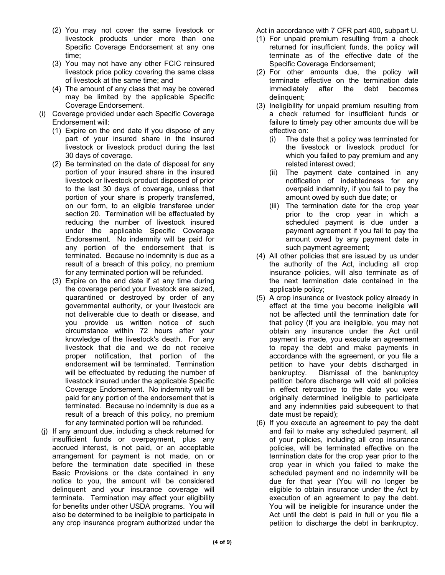- (2) You may not cover the same livestock or livestock products under more than one Specific Coverage Endorsement at any one time;
- (3) You may not have any other FCIC reinsured livestock price policy covering the same class of livestock at the same time; and
- (4) The amount of any class that may be covered may be limited by the applicable Specific Coverage Endorsement.
- (i) Coverage provided under each Specific Coverage Endorsement will:
	- (1) Expire on the end date if you dispose of any part of your insured share in the insured livestock or livestock product during the last 30 days of coverage.
	- (2) Be terminated on the date of disposal for any portion of your insured share in the insured livestock or livestock product disposed of prior to the last 30 days of coverage, unless that portion of your share is properly transferred, on our form, to an eligible transferee under section 20. Termination will be effectuated by reducing the number of livestock insured under the applicable Specific Coverage Endorsement. No indemnity will be paid for any portion of the endorsement that is terminated. Because no indemnity is due as a result of a breach of this policy, no premium for any terminated portion will be refunded.
	- (3) Expire on the end date if at any time during the coverage period your livestock are seized, quarantined or destroyed by order of any governmental authority, or your livestock are not deliverable due to death or disease, and you provide us written notice of such circumstance within 72 hours after your knowledge of the livestock's death. For any livestock that die and we do not receive proper notification, that portion of the endorsement will be terminated. Termination will be effectuated by reducing the number of livestock insured under the applicable Specific Coverage Endorsement. No indemnity will be paid for any portion of the endorsement that is terminated. Because no indemnity is due as a result of a breach of this policy, no premium for any terminated portion will be refunded.
- (j) If any amount due, including a check returned for insufficient funds or overpayment, plus any accrued interest, is not paid, or an acceptable arrangement for payment is not made, on or before the termination date specified in these Basic Provisions or the date contained in any notice to you, the amount will be considered delinquent and your insurance coverage will terminate. Termination may affect your eligibility for benefits under other USDA programs. You will also be determined to be ineligible to participate in any crop insurance program authorized under the

Act in accordance with 7 CFR part 400, subpart U.

- (1) For unpaid premium resulting from a check returned for insufficient funds, the policy will terminate as of the effective date of the Specific Coverage Endorsement;
- (2) For other amounts due, the policy will terminate effective on the termination date immediately after the debt becomes delinquent;
- (3) Ineligibility for unpaid premium resulting from a check returned for insufficient funds or failure to timely pay other amounts due will be effective on:
	- (i) The date that a policy was terminated for the livestock or livestock product for which you failed to pay premium and any related interest owed;
	- (ii) The payment date contained in any notification of indebtedness for any overpaid indemnity, if you fail to pay the amount owed by such due date; or
	- (iii) The termination date for the crop year prior to the crop year in which a scheduled payment is due under a payment agreement if you fail to pay the amount owed by any payment date in such payment agreement;
- (4) All other policies that are issued by us under the authority of the Act, including all crop insurance policies, will also terminate as of the next termination date contained in the applicable policy;
- (5) A crop insurance or livestock policy already in effect at the time you become ineligible will not be affected until the termination date for that policy (If you are ineligible, you may not obtain any insurance under the Act until payment is made, you execute an agreement to repay the debt and make payments in accordance with the agreement, or you file a petition to have your debts discharged in bankruptcy. Dismissal of the bankruptcy petition before discharge will void all policies in effect retroactive to the date you were originally determined ineligible to participate and any indemnities paid subsequent to that date must be repaid);
- termination date for the crop year prior to the (6) If you execute an agreement to pay the debt and fail to make any scheduled payment, all of your policies, including all crop insurance policies, will be terminated effective on the crop year in which you failed to make the scheduled payment and no indemnity will be due for that year (You will no longer be eligible to obtain insurance under the Act by execution of an agreement to pay the debt. You will be ineligible for insurance under the Act until the debt is paid in full or you file a petition to discharge the debt in bankruptcy.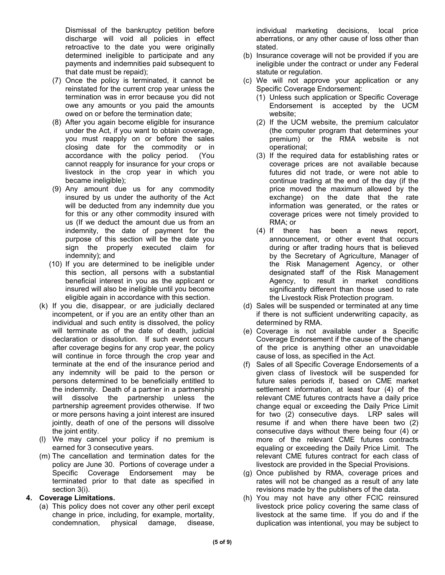Dismissal of the bankruptcy petition before discharge will void all policies in effect retroactive to the date you were originally determined ineligible to participate and any payments and indemnities paid subsequent to that date must be repaid);

- (7) Once the policy is terminated, it cannot be reinstated for the current crop year unless the termination was in error because you did not owe any amounts or you paid the amounts owed on or before the termination date;
- (8) After you again become eligible for insurance under the Act, if you want to obtain coverage, you must reapply on or before the sales closing date for the commodity or in accordance with the policy period. (You cannot reapply for insurance for your crops or livestock in the crop year in which you became ineligible);
- (9) Any amount due us for any commodity insured by us under the authority of the Act will be deducted from any indemnity due you for this or any other commodity insured with us (If we deduct the amount due us from an indemnity, the date of payment for the purpose of this section will be the date you sign the properly executed claim for indemnity); and
- (10) If you are determined to be ineligible under this section, all persons with a substantial beneficial interest in you as the applicant or insured will also be ineligible until you become eligible again in accordance with this section.
- (k) If you die, disappear, or are judicially declared incompetent, or if you are an entity other than an individual and such entity is dissolved, the policy will terminate as of the date of death, judicial declaration or dissolution. If such event occurs after coverage begins for any crop year, the policy will continue in force through the crop year and terminate at the end of the insurance period and any indemnity will be paid to the person or persons determined to be beneficially entitled to the indemnity. Death of a partner in a partnership will dissolve the partnership unless the partnership agreement provides otherwise. If two or more persons having a joint interest are insured jointly, death of one of the persons will dissolve the joint entity.
- (l) We may cancel your policy if no premium is earned for 3 consecutive years.
- (m) The cancellation and termination dates for the policy are June 30. Portions of coverage under a Specific Coverage Endorsement may be terminated prior to that date as specified in section 3(i).

## **4. Coverage Limitations.**

(a) This policy does not cover any other peril except change in price, including, for example, mortality, condemnation, physical damage, disease,

individual marketing decisions, local price aberrations, or any other cause of loss other than stated.

- (b) Insurance coverage will not be provided if you are ineligible under the contract or under any Federal statute or regulation.
- (c) We will not approve your application or any Specific Coverage Endorsement:
	- (1) Unless such application or Specific Coverage Endorsement is accepted by the UCM website;
	- (2) If the UCM website, the premium calculator (the computer program that determines your premium) or the RMA website is not operational;
	- (3) If the required data for establishing rates or coverage prices are not available because futures did not trade, or were not able to continue trading at the end of the day (if the price moved the maximum allowed by the exchange) on the date that the rate information was generated, or the rates or coverage prices were not timely provided to RMA; or
	- (4) If there has been a news report, announcement, or other event that occurs during or after trading hours that is believed by the Secretary of Agriculture, Manager of the Risk Management Agency, or other designated staff of the Risk Management Agency, to result in market conditions significantly different than those used to rate the Livestock Risk Protection program.
- (d) Sales will be suspended or terminated at any time if there is not sufficient underwriting capacity, as determined by RMA.
- (e) Coverage is not available under a Specific Coverage Endorsement if the cause of the change of the price is anything other an unavoidable cause of loss, as specified in the Act.
- (f) Sales of all Specific Coverage Endorsements of a given class of livestock will be suspended for future sales periods if, based on CME market settlement information, at least four (4) of the relevant CME futures contracts have a daily price change equal or exceeding the Daily Price Limit for two (2) consecutive days. LRP sales will resume if and when there have been two (2) consecutive days without there being four (4) or more of the relevant CME futures contracts equaling or exceeding the Daily Price Limit. The relevant CME futures contract for each class of livestock are provided in the Special Provisions.
- (g) Once published by RMA, coverage prices and rates will not be changed as a result of any late revisions made by the publishers of the data.
- (h) You may not have any other FCIC reinsured livestock price policy covering the same class of livestock at the same time. If you do and if the duplication was intentional, you may be subject to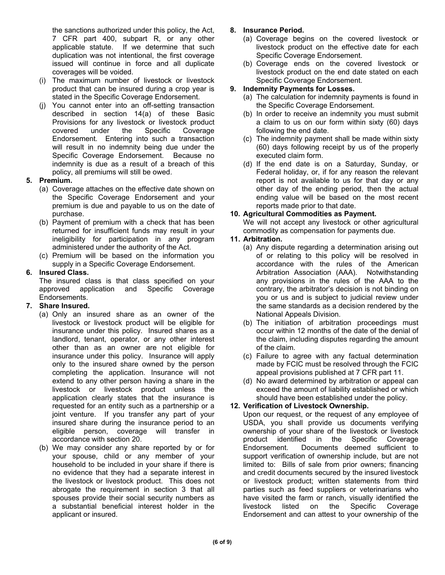the sanctions authorized under this policy, the Act, **8. Insurance Period.**  duplication was not intentional, the first coverage Specific Coverage Endorsement.

- (i) The maximum number of livestock or livestock Specific Coverage Endorsement. product that can be insured during a crop year is **9. Indemnity Payments for Losses.**
- (j) You cannot enter into an off-setting transaction the Specific Coverage Endorsement. covered under the Specific Coverage following the end date. Specific Coverage Endorsement. Because no executed claim form.

- premium is due and payable to us on the date of reports made prior to that date. purchase. **10. Agricultural Commodities as Payment.**
- returned for insufficient funds may result in your commodity as compensation for payments due. ineligibility for participation in any program **11. Arbitration.**
- (c) Premium will be based on the information you

The insured class is that class specified on your approved application and Specific Coverage contrary, the arbitrator's decision is not binding on Endorsements. you or us and is subject to judicial review under

- (a) Only an insured share as an owner of the National Appeals Division. other than as an owner are not eligible for of the claim. completing the application. Insurance will not appeal provisions published at 7 CFR part 11. application clearly states that the insurance is should have been established under the policy. requested for an entity such as a partnership or a **12. Verification of Livestock Ownership.**
- (b) We may consider any share reported by or for Endorsement.<br>
your spouse, child or any member of your support verifical

- 7 CFR part 400, subpart R, or any other (a) Coverage begins on the covered livestock or applicable statute. If we determine that such livestock product on the effective date for each
- issued will continue in force and all duplicate (b) Coverage ends on the covered livestock or<br>coverages will be voided. <br>coverages will be voided. livestock product on the end date stated on each

- stated in the Specific Coverage Endorsement. (a) The calculation for indemnity payments is found in
- described in section 14(a) of these Basic (b) In order to receive an indemnity you must submit<br>Provisions for any livestock or livestock product a claim to us on our form within sixty (60) days a claim to us on our form within sixty (60) days
- Endorsement. Entering into such a transaction (c) The indemnity payment shall be made within sixty will result in no indemnity being due under the (60) days following receipt by us of the properly
- indemnity is due as a result of a breach of this (d) If the end date is on a Saturday, Sunday, or policy, all premiums will still be owed. Federal holiday, or, if for any reason the relevant **5. Premium.** report is not available to us for that day or any (a) Coverage attaches on the effective date shown on other day of the ending period, then the actual the Specific Coverage Endorsement and your ending value will be based on the most recent

(b) Payment of premium with a check that has been We will not accept any livestock or other agricultural

- administered under the authority of the Act. (a) Any dispute regarding a determination arising out<br>Premium will be based on the information you of or relating to this policy will be resolved in supply in a Specific Coverage Endorsement. The accordance with the rules of the American **6. Insured Class. 6. Insured Class. 6. Insured Class** is that class specified on your **any provisions** in the rules of the AAA to the **7. Share Insured.** the same standards as a decision rendered by the
	- livestock or livestock product will be eligible for (b) The initiation of arbitration proceedings must insurance under this policy. Insured shares as a occur within 12 months of the date of the denial of landlord, tenant, operator, or any other interest the claim, including disputes regarding the amount
	- insurance under this policy. Insurance will apply (c) Failure to agree with any factual determination only to the insured share owned by the person made by FCIC must be resolved through the FCIC
	- extend to any other person having a share in the (d) No award determined by arbitration or appeal can livestock or livestock product unless the exceed the amount of liability established or which

joint venture. If you transfer any part of your Upon our request, or the request of any employee of insured share during the insurance period to an USDA, you shall provide us documents verifying eligible person, coverage will transfer in cownership of your share of the livestock or livestock accordance with section 20. entity of the specific section 20.<br>We may consider any share reported by or for and allow and the Specific Coverage We may consider any share reported by or for support verification of ownership include, but are not household to be included in your share if there is limited to: Bills of sale from prior owners; financing no evidence that they had a separate interest in and credit documents secured by the insured livestock the livestock or livestock product. This does not or livestock product; written statements from third abrogate the requirement in section 3 that all parties such as feed suppliers or veterinarians who spouses provide their social security numbers as have visited the farm or ranch, visually identified the a substantial beneficial interest holder in the livestock listed on the Specific Coverage applicant or insured. Endorsement and can attest to your ownership of the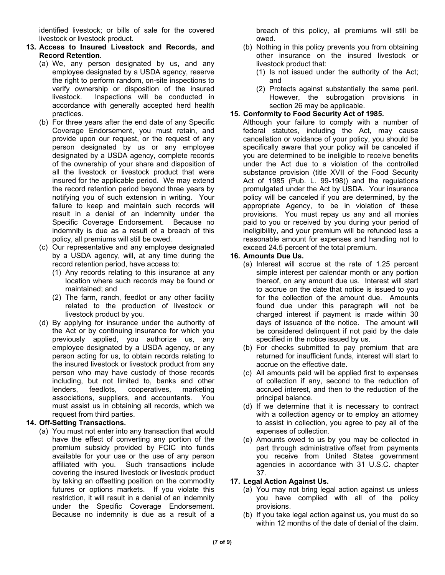identified livestock; or bills of sale for the covered livestock or livestock product.

### **13. Access to Insured Livestock and Records, and Record Retention.**

- (a) We, any person designated by us, and any employee designated by a USDA agency, reserve the right to perform random, on-site inspections to verify ownership or disposition of the insured livestock. Inspections will be conducted in accordance with generally accepted herd health practices.
- (b) For three years after the end date of any Specific Coverage Endorsement, you must retain, and provide upon our request, or the request of any person designated by us or any employee designated by a USDA agency, complete records of the ownership of your share and disposition of all the livestock or livestock product that were insured for the applicable period. We may extend the record retention period beyond three years by notifying you of such extension in writing. Your failure to keep and maintain such records will result in a denial of an indemnity under the Specific Coverage Endorsement. Because no indemnity is due as a result of a breach of this policy, all premiums will still be owed.
- (c) Our representative and any employee designated by a USDA agency, will, at any time during the record retention period, have access to:
	- (1) Any records relating to this insurance at any location where such records may be found or maintained; and
	- (2) The farm, ranch, feedlot or any other facility related to the production of livestock or livestock product by you.
- (d) By applying for insurance under the authority of the Act or by continuing insurance for which you previously applied, you authorize us, any employee designated by a USDA agency, or any person acting for us, to obtain records relating to the insured livestock or livestock product from any person who may have custody of those records including, but not limited to, banks and other lenders, feedlots, cooperatives, marketing associations, suppliers, and accountants. You must assist us in obtaining all records, which we request from third parties.

# **14. Off-Setting Transactions.**

(a) You must not enter into any transaction that would have the effect of converting any portion of the premium subsidy provided by FCIC into funds available for your use or the use of any person affiliated with you. Such transactions include covering the insured livestock or livestock product by taking an offsetting position on the commodity futures or options markets. If you violate this restriction, it will result in a denial of an indemnity under the Specific Coverage Endorsement. Because no indemnity is due as a result of a

breach of this policy, all premiums will still be owed.

- (b) Nothing in this policy prevents you from obtaining other insurance on the insured livestock or livestock product that:
	- (1) Is not issued under the authority of the Act; and
	- (2) Protects against substantially the same peril. However, the subrogation provisions in section 26 may be applicable.

## **15. Conformity to Food Security Act of 1985.**

Although your failure to comply with a number of federal statutes, including the Act, may cause cancellation or voidance of your policy, you should be specifically aware that your policy will be canceled if you are determined to be ineligible to receive benefits under the Act due to a violation of the controlled substance provision (title XVII of the Food Security Act of 1985 (Pub. L. 99-198)) and the regulations promulgated under the Act by USDA. Your insurance policy will be canceled if you are determined, by the appropriate Agency, to be in violation of these provisions. You must repay us any and all monies paid to you or received by you during your period of ineligibility, and your premium will be refunded less a reasonable amount for expenses and handling not to exceed 24.5 percent of the total premium.

## **16. Amounts Due Us.**

- (a) Interest will accrue at the rate of 1.25 percent simple interest per calendar month or any portion thereof, on any amount due us. Interest will start to accrue on the date that notice is issued to you for the collection of the amount due. Amounts found due under this paragraph will not be charged interest if payment is made within 30 days of issuance of the notice. The amount will be considered delinquent if not paid by the date specified in the notice issued by us.
- (b) For checks submitted to pay premium that are returned for insufficient funds, interest will start to accrue on the effective date.
- (c) All amounts paid will be applied first to expenses of collection if any, second to the reduction of accrued interest, and then to the reduction of the principal balance.
- (d) If we determine that it is necessary to contract with a collection agency or to employ an attorney to assist in collection, you agree to pay all of the expenses of collection.
- (e) Amounts owed to us by you may be collected in part through administrative offset from payments you receive from United States government agencies in accordance with 31 U.S.C. chapter 37.

# **17. Legal Action Against Us.**

- (a) You may not bring legal action against us unless you have complied with all of the policy provisions.
- (b) If you take legal action against us, you must do so within 12 months of the date of denial of the claim.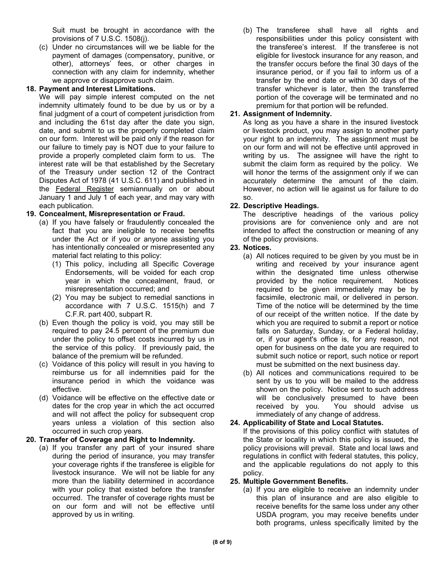Suit must be brought in accordance with the provisions of 7 U.S.C. 1508(j).

(c) Under no circumstances will we be liable for the payment of damages (compensatory, punitive, or other), attorneys' fees, or other charges in connection with any claim for indemnity, whether we approve or disapprove such claim.

## **18. Payment and Interest Limitations.**

We will pay simple interest computed on the net indemnity ultimately found to be due by us or by a final judgment of a court of competent jurisdiction from and including the 61st day after the date you sign, date, and submit to us the properly completed claim on our form. Interest will be paid only if the reason for our failure to timely pay is NOT due to your failure to provide a properly completed claim form to us. The interest rate will be that established by the Secretary of the Treasury under section 12 of the Contract Disputes Act of 1978 (41 U.S.C. 611) and published in the Federal Register semiannually on or about January 1 and July 1 of each year, and may vary with each publication.

## **19. Concealment, Misrepresentation or Fraud.**

- (a) If you have falsely or fraudulently concealed the fact that you are ineligible to receive benefits under the Act or if you or anyone assisting you has intentionally concealed or misrepresented any material fact relating to this policy:
	- (1) This policy, including all Specific Coverage Endorsements, will be voided for each crop year in which the concealment, fraud, or misrepresentation occurred; and
	- (2) You may be subject to remedial sanctions in accordance with 7 U.S.C. 1515(h) and 7 C.F.R. part 400, subpart R.
- (b) Even though the policy is void, you may still be required to pay 24.5 percent of the premium due under the policy to offset costs incurred by us in the service of this policy. If previously paid, the balance of the premium will be refunded.
- (c) Voidance of this policy will result in you having to reimburse us for all indemnities paid for the insurance period in which the voidance was effective.
- (d) Voidance will be effective on the effective date or dates for the crop year in which the act occurred and will not affect the policy for subsequent crop years unless a violation of this section also occurred in such crop years.

## **20. Transfer of Coverage and Right to Indemnity.**

(a) If you transfer any part of your insured share during the period of insurance, you may transfer your coverage rights if the transferee is eligible for livestock insurance. We will not be liable for any more than the liability determined in accordance with your policy that existed before the transfer occurred. The transfer of coverage rights must be on our form and will not be effective until approved by us in writing.

(b) The transferee shall have all rights and responsibilities under this policy consistent with the transferee's interest. If the transferee is not eligible for livestock insurance for any reason, and the transfer occurs before the final 30 days of the insurance period, or if you fail to inform us of a transfer by the end date or within 30 days of the transfer whichever is later, then the transferred portion of the coverage will be terminated and no premium for that portion will be refunded.

# **21. Assignment of Indemnity.**

As long as you have a share in the insured livestock or livestock product, you may assign to another party your right to an indemnity. The assignment must be on our form and will not be effective until approved in writing by us. The assignee will have the right to submit the claim form as required by the policy. We will honor the terms of the assignment only if we can accurately determine the amount of the claim. However, no action will lie against us for failure to do so.

## **22. Descriptive Headings.**

The descriptive headings of the various policy provisions are for convenience only and are not intended to affect the construction or meaning of any of the policy provisions.

## **23. Notices.**

- facsimile, electronic mail, or delivered in person. (a) All notices required to be given by you must be in writing and received by your insurance agent within the designated time unless otherwise provided by the notice requirement. Notices required to be given immediately may be by Time of the notice will be determined by the time of our receipt of the written notice. If the date by which you are required to submit a report or notice falls on Saturday, Sunday, or a Federal holiday, or, if your agent's office is, for any reason, not open for business on the date you are required to submit such notice or report, such notice or report must be submitted on the next business day.
- (b) All notices and communications required to be sent by us to you will be mailed to the address shown on the policy. Notice sent to such address will be conclusively presumed to have been received by you. You should advise us immediately of any change of address.

## **24. Applicability of State and Local Statutes.**

If the provisions of this policy conflict with statutes of the State or locality in which this policy is issued, the policy provisions will prevail. State and local laws and regulations in conflict with federal statutes, this policy, and the applicable regulations do not apply to this policy.

## **25. Multiple Government Benefits.**

(a) If you are eligible to receive an indemnity under this plan of insurance and are also eligible to receive benefits for the same loss under any other USDA program, you may receive benefits under both programs, unless specifically limited by the